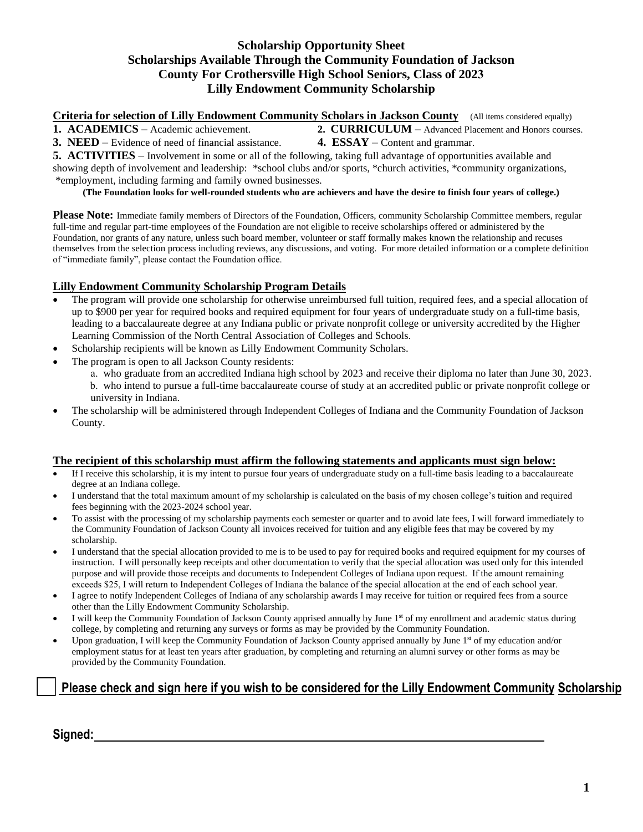### **Scholarship Opportunity Sheet Scholarships Available Through the Community Foundation of Jackson County For Crothersville High School Seniors, Class of 2023 Lilly Endowment Community Scholarship**

**Criteria for selection of Lilly Endowment Community Scholars in Jackson County** (All items considered equally)

**1. ACADEMICS** – Academic achievement. **2. CURRICULUM** – Advanced Placement and Honors courses. **3. NEED** – Evidence of need of financial assistance. **4. ESSAY** – Content and grammar.

**5. ACTIVITIES** – Involvement in some or all of the following, taking full advantage of opportunities available and showing depth of involvement and leadership: \*school clubs and/or sports, \*church activities, \*community organizations, \*employment, including farming and family owned businesses.

**(The Foundation looks for well-rounded students who are achievers and have the desire to finish four years of college.)**

**Please Note:** Immediate family members of Directors of the Foundation, Officers, community Scholarship Committee members, regular full-time and regular part-time employees of the Foundation are not eligible to receive scholarships offered or administered by the Foundation, nor grants of any nature, unless such board member, volunteer or staff formally makes known the relationship and recuses themselves from the selection process including reviews, any discussions, and voting. For more detailed information or a complete definition of "immediate family", please contact the Foundation office.

#### **Lilly Endowment Community Scholarship Program Details**

- The program will provide one scholarship for otherwise unreimbursed full tuition, required fees, and a special allocation of up to \$900 per year for required books and required equipment for four years of undergraduate study on a full-time basis, leading to a baccalaureate degree at any Indiana public or private nonprofit college or university accredited by the Higher Learning Commission of the North Central Association of Colleges and Schools.
- Scholarship recipients will be known as Lilly Endowment Community Scholars.
- The program is open to all Jackson County residents:
	- a. who graduate from an accredited Indiana high school by 2023 and receive their diploma no later than June 30, 2023. b. who intend to pursue a full-time baccalaureate course of study at an accredited public or private nonprofit college or university in Indiana.
- The scholarship will be administered through Independent Colleges of Indiana and the Community Foundation of Jackson County.

#### **The recipient of this scholarship must affirm the following statements and applicants must sign below:**

- If I receive this scholarship, it is my intent to pursue four years of undergraduate study on a full-time basis leading to a baccalaureate degree at an Indiana college.
- I understand that the total maximum amount of my scholarship is calculated on the basis of my chosen college's tuition and required fees beginning with the 2023-2024 school year.
- To assist with the processing of my scholarship payments each semester or quarter and to avoid late fees, I will forward immediately to the Community Foundation of Jackson County all invoices received for tuition and any eligible fees that may be covered by my scholarship.
- I understand that the special allocation provided to me is to be used to pay for required books and required equipment for my courses of instruction. I will personally keep receipts and other documentation to verify that the special allocation was used only for this intended purpose and will provide those receipts and documents to Independent Colleges of Indiana upon request. If the amount remaining exceeds \$25, I will return to Independent Colleges of Indiana the balance of the special allocation at the end of each school year.
- I agree to notify Independent Colleges of Indiana of any scholarship awards I may receive for tuition or required fees from a source other than the Lilly Endowment Community Scholarship.
- I will keep the Community Foundation of Jackson County apprised annually by June 1<sup>st</sup> of my enrollment and academic status during college, by completing and returning any surveys or forms as may be provided by the Community Foundation.
- Upon graduation, I will keep the Community Foundation of Jackson County apprised annually by June 1<sup>st</sup> of my education and/or employment status for at least ten years after graduation, by completing and returning an alumni survey or other forms as may be provided by the Community Foundation.

# **Please check and sign here if you wish to be considered for the Lilly Endowment Community Scholarship**

**Signed:**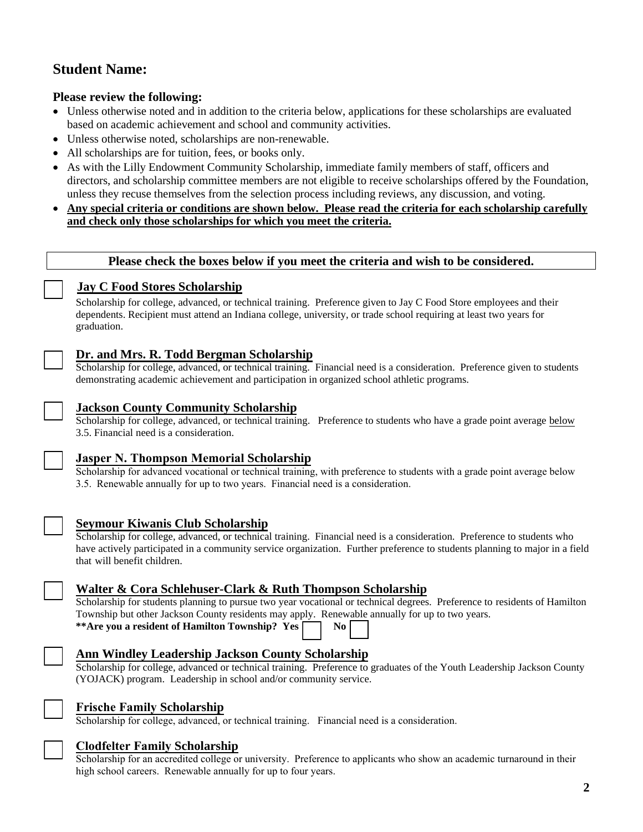# **Student Name:**

## **Please review the following:**

- Unless otherwise noted and in addition to the criteria below, applications for these scholarships are evaluated based on academic achievement and school and community activities.
- Unless otherwise noted, scholarships are non-renewable.
- All scholarships are for tuition, fees, or books only.
- As with the Lilly Endowment Community Scholarship, immediate family members of staff, officers and directors, and scholarship committee members are not eligible to receive scholarships offered by the Foundation, unless they recuse themselves from the selection process including reviews, any discussion, and voting.
- **Any special criteria or conditions are shown below. Please read the criteria for each scholarship carefully and check only those scholarships for which you meet the criteria.**

**Please check the boxes below if you meet the criteria and wish to be considered.**

## **Jay C Food Stores Scholarship**

Scholarship for college, advanced, or technical training. Preference given to Jay C Food Store employees and their dependents. Recipient must attend an Indiana college, university, or trade school requiring at least two years for graduation.

## **Dr. and Mrs. R. Todd Bergman Scholarship**

Scholarship for college, advanced, or technical training. Financial need is a consideration. Preference given to students demonstrating academic achievement and participation in organized school athletic programs.

## **Jackson County Community Scholarship**

Scholarship for college, advanced, or technical training. Preference to students who have a grade point average below 3.5. Financial need is a consideration.

#### **Jasper N. Thompson Memorial Scholarship**

Scholarship for advanced vocational or technical training, with preference to students with a grade point average below 3.5. Renewable annually for up to two years. Financial need is a consideration.

| $\overline{\phantom{a}}$ |  |  |
|--------------------------|--|--|
|                          |  |  |

# **Seymour Kiwanis Club Scholarship**

Scholarship for college, advanced, or technical training. Financial need is a consideration. Preference to students who have actively participated in a community service organization. Further preference to students planning to major in a field that will benefit children.



# **Walter & Cora Schlehuser-Clark & Ruth Thompson Scholarship**

Scholarship for students planning to pursue two year vocational or technical degrees. Preference to residents of Hamilton Township but other Jackson County residents may apply. Renewable annually for up to two years. \*\*Are you a resident of Hamilton Township? Yes  $\Box$  No

# **Ann Windley Leadership Jackson County Scholarship**

Scholarship for college, advanced or technical training. Preference to graduates of the Youth Leadership Jackson County (YOJACK) program. Leadership in school and/or community service.



#### **Frische Family Scholarship**

Scholarship for college, advanced, or technical training. Financial need is a consideration.



#### **Clodfelter Family Scholarship**

Scholarship for an accredited college or university. Preference to applicants who show an academic turnaround in their high school careers. Renewable annually for up to four years.